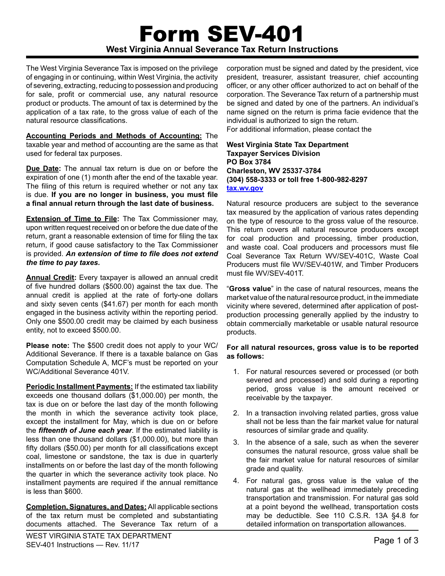# Form SEV-401 **West Virginia Annual Severance Tax Return Instructions**

The West Virginia Severance Tax is imposed on the privilege of engaging in or continuing, within West Virginia, the activity of severing, extracting, reducing to possession and producing for sale, profit or commercial use, any natural resource product or products. The amount of tax is determined by the application of a tax rate, to the gross value of each of the natural resource classifications.

**Accounting Periods and Methods of Accounting:** The taxable year and method of accounting are the same as that used for federal tax purposes.

**Due Date:** The annual tax return is due on or before the expiration of one (1) month after the end of the taxable year. The filing of this return is required whether or not any tax is due. **If you are no longer in business, you must file a final annual return through the last date of business.**

**Extension of Time to File:** The Tax Commissioner may, upon written request received on or before the due date of the return, grant a reasonable extension of time for filing the tax return, if good cause satisfactory to the Tax Commissioner is provided. *An extension of time to file does not extend the time to pay taxes.*

**Annual Credit:** Every taxpayer is allowed an annual credit of five hundred dollars (\$500.00) against the tax due. The annual credit is applied at the rate of forty-one dollars and sixty seven cents (\$41.67) per month for each month engaged in the business activity within the reporting period. Only one \$500.00 credit may be claimed by each business entity, not to exceed \$500.00.

**Please note:** The \$500 credit does not apply to your WC/ Additional Severance. If there is a taxable balance on Gas Computation Schedule A, MCF's must be reported on your WC/Additional Severance 401V.

**Periodic Installment Payments:** If the estimated tax liability exceeds one thousand dollars (\$1,000.00) per month, the tax is due on or before the last day of the month following the month in which the severance activity took place, except the installment for May, which is due on or before the *fifteenth of June each year*. If the estimated liability is less than one thousand dollars (\$1,000.00), but more than fifty dollars (\$50.00) per month for all classifications except coal, limestone or sandstone, the tax is due in quarterly installments on or before the last day of the month following the quarter in which the severance activity took place. No installment payments are required if the annual remittance is less than \$600.

**Completion, Signatures, and Dates:** All applicable sections of the tax return must be completed and substantiating documents attached. The Severance Tax return of a

corporation must be signed and dated by the president, vice president, treasurer, assistant treasurer, chief accounting officer, or any other officer authorized to act on behalf of the corporation. The Severance Tax return of a partnership must be signed and dated by one of the partners. An individual's name signed on the return is prima facie evidence that the individual is authorized to sign the return.

For additional information, please contact the

## **West Virginia State Tax Department Taxpayer Services Division PO Box 3784 Charleston, WV 25337-3784 (304) 558-3333 or toll free 1-800-982-8297 tax.wv.gov**

Natural resource producers are subject to the severance tax measured by the application of various rates depending on the type of resource to the gross value of the resource. This return covers all natural resource producers except for coal production and processing, timber production, and waste coal. Coal producers and processors must file Coal Severance Tax Return WV/SEV-401C, Waste Coal Producers must file WV/SEV-401W, and Timber Producers must file WV/SEV-401T.

"**Gross value**" in the case of natural resources, means the market value of the natural resource product, in the immediate vicinity where severed, determined after application of postproduction processing generally applied by the industry to obtain commercially marketable or usable natural resource products.

# **For all natural resources, gross value is to be reported as follows:**

- 1. For natural resources severed or processed (or both severed and processed) and sold during a reporting period, gross value is the amount received or receivable by the taxpayer.
- 2. In a transaction involving related parties, gross value shall not be less than the fair market value for natural resources of similar grade and quality.
- 3. In the absence of a sale, such as when the severer consumes the natural resource, gross value shall be the fair market value for natural resources of similar grade and quality.
- 4. For natural gas, gross value is the value of the natural gas at the wellhead immediately preceding transportation and transmission. For natural gas sold at a point beyond the wellhead, transportation costs may be deductible. See 110 C.S.R. 13A §4.8 for detailed information on transportation allowances.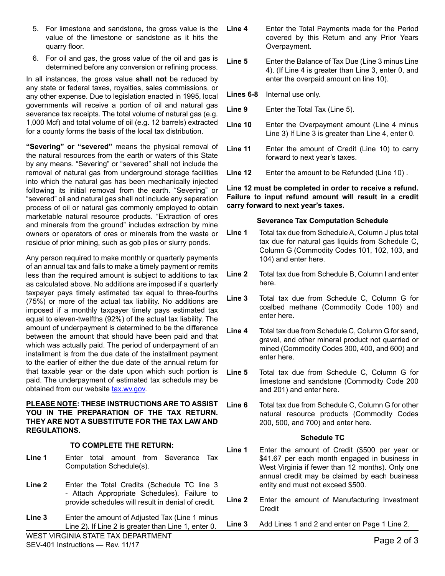- 5. For limestone and sandstone, the gross value is the value of the limestone or sandstone as it hits the quarry floor.
- 6. For oil and gas, the gross value of the oil and gas is determined before any conversion or refining process.

In all instances, the gross value **shall not** be reduced by any state or federal taxes, royalties, sales commissions, or any other expense. Due to legislation enacted in 1995, local governments will receive a portion of oil and natural gas severance tax receipts. The total volume of natural gas (e.g. 1,000 Mcf) and total volume of oil (e.g. 12 barrels) extracted for a county forms the basis of the local tax distribution.

**"Severing" or "severed"** means the physical removal of the natural resources from the earth or waters of this State by any means. "Severing" or "severed" shall not include the removal of natural gas from underground storage facilities into which the natural gas has been mechanically injected following its initial removal from the earth. "Severing" or "severed" oil and natural gas shall not include any separation process of oil or natural gas commonly employed to obtain marketable natural resource products. "Extraction of ores and minerals from the ground" includes extraction by mine owners or operators of ores or minerals from the waste or residue of prior mining, such as gob piles or slurry ponds.

Any person required to make monthly or quarterly payments of an annual tax and fails to make a timely payment or remits less than the required amount is subject to additions to tax as calculated above. No additions are imposed if a quarterly taxpayer pays timely estimated tax equal to three-fourths (75%) or more of the actual tax liability. No additions are imposed if a monthly taxpayer timely pays estimated tax equal to eleven-twelfths (92%) of the actual tax liability. The amount of underpayment is determined to be the difference between the amount that should have been paid and that which was actually paid. The period of underpayment of an installment is from the due date of the installment payment to the earlier of either the due date of the annual return for that taxable year or the date upon which such portion is paid. The underpayment of estimated tax schedule may be obtained from our website tax.wv.gov.

#### **PLEASE NOTE: THESE INSTRUCTIONS ARE TO ASSIST**  YOU IN THE PREPARATION OF THE TAX RETURN. **THEY ARE NOT A SUBSTITUTE FOR THE TAX LAW AND REGULATIONS.**

## **TO COMPLETE THE RETURN:**

- **Line 1** Enter total amount from Severance Tax Computation Schedule(s).
- **Line 2** Enter the Total Credits (Schedule TC line 3 - Attach Appropriate Schedules). Failure to provide schedules will result in denial of credit.
- **Line 3** Enter the amount of Adjusted Tax (Line 1 minus Line 2). If Line 2 is greater than Line 1, enter 0.
- **Line 4** Enter the Total Payments made for the Period covered by this Return and any Prior Years Overpayment.
- **Line 5** Enter the Balance of Tax Due (Line 3 minus Line 4). (If Line 4 is greater than Line 3, enter 0, and enter the overpaid amount on line 10).
- **Lines 6-8** Internal use only.
- **Line 9** Enter the Total Tax (Line 5).
- **Line 10** Enter the Overpayment amount (Line 4 minus Line 3) If Line 3 is greater than Line 4, enter 0.
- **Line 11** Enter the amount of Credit (Line 10) to carry forward to next year's taxes.
- **Line 12** Enter the amount to be Refunded (Line 10) .

**Line 12 must be completed in order to receive a refund. Failure to input refund amount will result in a credit carry forward to next year's taxes.**

#### **Severance Tax Computation Schedule**

- **Line 1** Total tax due from Schedule A, Column J plus total tax due for natural gas liquids from Schedule C, Column G (Commodity Codes 101, 102, 103, and 104) and enter here.
- **Line 2** Total tax due from Schedule B, Column I and enter here.
- **Line 3** Total tax due from Schedule C, Column G for coalbed methane (Commodity Code 100) and enter here.
- **Line 4** Total tax due from Schedule C, Column G for sand, gravel, and other mineral product not quarried or mined (Commodity Codes 300, 400, and 600) and enter here.
- **Line 5** Total tax due from Schedule C, Column G for limestone and sandstone (Commodity Code 200 and 201) and enter here.
- **Line 6** Total tax due from Schedule C, Column G for other natural resource products (Commodity Codes 200, 500, and 700) and enter here.

## **Schedule TC**

- **Line 1** Enter the amount of Credit (\$500 per year or \$41.67 per each month engaged in business in West Virginia if fewer than 12 months). Only one annual credit may be claimed by each business entity and must not exceed \$500.
- **Line 2** Enter the amount of Manufacturing Investment **Credit**
- **Line 3** Add Lines 1 and 2 and enter on Page 1 Line 2.